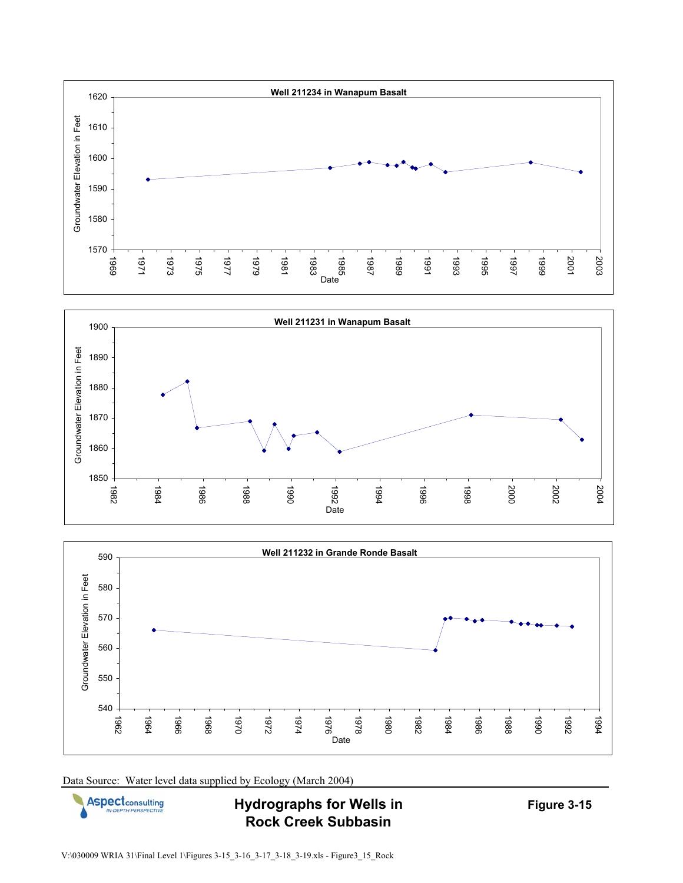







**Hydrographs for Wells in Rock Creek Subbasin**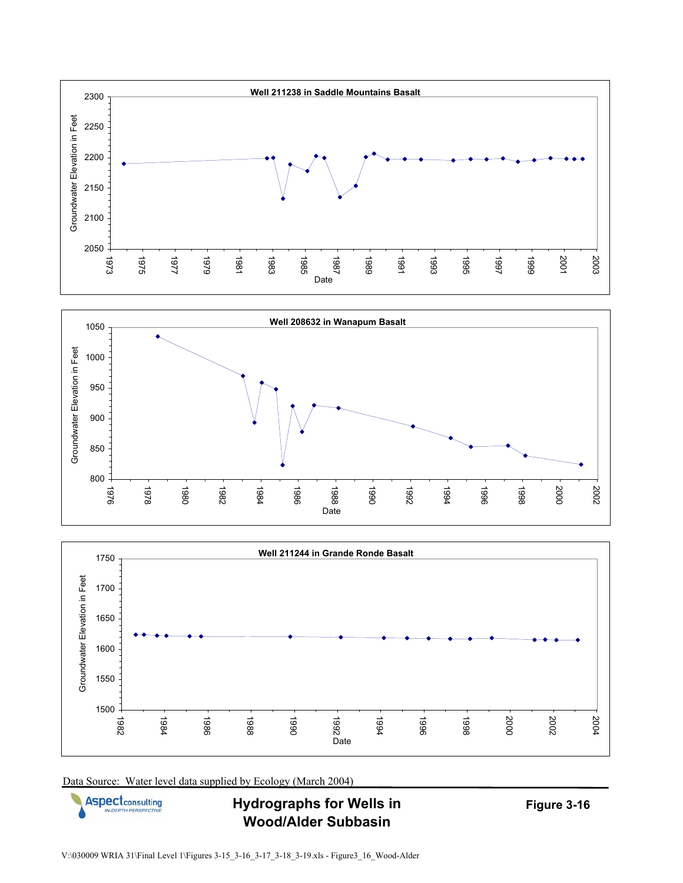







**Hydrographs for Wells in Wood/Alder Subbasin**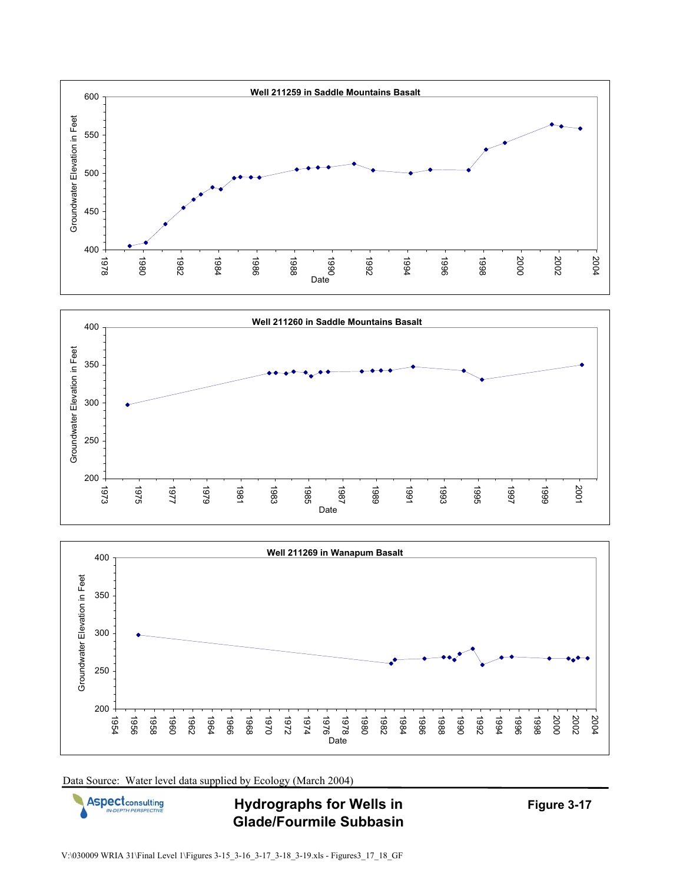







**Hydrographs for Wells in Glade/Fourmile Subbasin**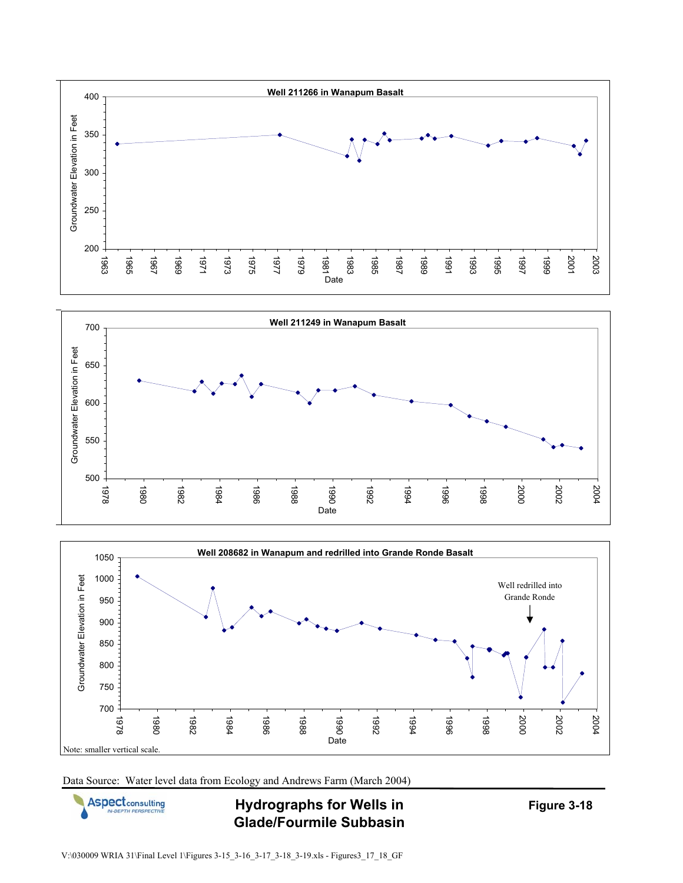





Data Source: Water level data from Ecology and Andrews Farm (March 2004)



**Hydrographs for Wells in Glade/Fourmile Subbasin**